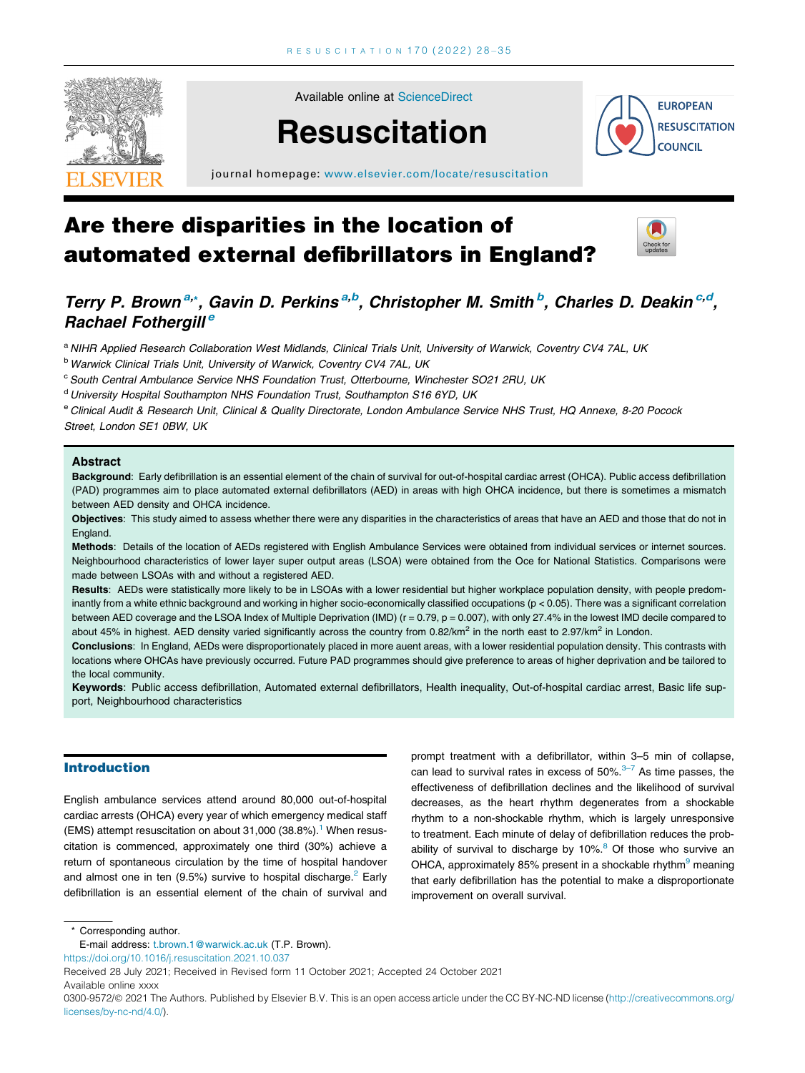

Available online at [ScienceDirect](http://www.sciencedirect.com/science/journal/03009572)

# **Resuscitation**



journal homepage: [www.elsevier.com/locate/resuscitation](http://www.elsevier.com/locate/resuscitation)

## Are there disparities in the location of automated external defibrillators in England?



### Terry P. Brown<sup>a,\*</sup>, Gavin D. Perkins<sup>a,b</sup>, Christopher M. Smith<sup>b</sup>, Charles D. Deakin<sup>c,d</sup>, Rachael Fothergill<sup>e</sup>

a NIHR Applied Research Collaboration West Midlands, Clinical Trials Unit, University of Warwick, Coventry CV4 7AL, UK

b Warwick Clinical Trials Unit, University of Warwick, Coventry CV4 7AL, UK

 $c$  South Central Ambulance Service NHS Foundation Trust, Otterbourne, Winchester SO21 2RU, UK

d University Hospital Southampton NHS Foundation Trust, Southampton S16 6YD, UK

e Clinical Audit & Research Unit, Clinical & Quality Directorate, London Ambulance Service NHS Trust, HQ Annexe, 8-20 Pocock Street, London SE1 0BW, UK

#### Abstract

Background: Early defibrillation is an essential element of the chain of survival for out-of-hospital cardiac arrest (OHCA). Public access defibrillation (PAD) programmes aim to place automated external defibrillators (AED) in areas with high OHCA incidence, but there is sometimes a mismatch between AED density and OHCA incidence.

Objectives: This study aimed to assess whether there were any disparities in the characteristics of areas that have an AED and those that do not in England.

Methods: Details of the location of AEDs registered with English Ambulance Services were obtained from individual services or internet sources. Neighbourhood characteristics of lower layer super output areas (LSOA) were obtained from the Oce for National Statistics. Comparisons were made between LSOAs with and without a registered AED.

Results: AEDs were statistically more likely to be in LSOAs with a lower residential but higher workplace population density, with people predominantly from a white ethnic background and working in higher socio-economically classified occupations (p < 0.05). There was a significant correlation between AED coverage and the LSOA Index of Multiple Deprivation (IMD) (r = 0.79, p = 0.007), with only 27.4% in the lowest IMD decile compared to about 45% in highest. AED density varied significantly across the country from 0.82/ $km^2$  in the north east to 2.97/ $km^2$  in London.

Conclusions: In England, AEDs were disproportionately placed in more auent areas, with a lower residential population density. This contrasts with locations where OHCAs have previously occurred. Future PAD programmes should give preference to areas of higher deprivation and be tailored to the local community.

Keywords: Public access defibrillation, Automated external defibrillators, Health inequality, Out-of-hospital cardiac arrest, Basic life support, Neighbourhood characteristics

#### Introduction

English ambulance services attend around 80,000 out-of-hospital cardiac arrests (OHCA) every year of which emergency medical staff (EMS) attempt resuscitation on about  $31,000$  ( $38.8\%$ ).<sup>1</sup> When resuscitation is commenced, approximately one third (30%) achieve a return of spontaneous circulation by the time of hospital handover and almost one in ten  $(9.5%)$  survive to hospital discharge.<sup>[2](#page-6-0)</sup> Early defibrillation is an essential element of the chain of survival and prompt treatment with a defibrillator, within 3–5 min of collapse, can lead to survival rates in excess of  $50\%$ . $3\overline{-7}$  As time passes, the effectiveness of defibrillation declines and the likelihood of survival decreases, as the heart rhythm degenerates from a shockable rhythm to a non-shockable rhythm, which is largely unresponsive to treatment. Each minute of delay of defibrillation reduces the probability of survival to discharge by  $10\%$ .<sup>8</sup> Of those who survive an OHCA, approximately 85% present in a shockable rhythm<sup>[9](#page-6-0)</sup> meaning that early defibrillation has the potential to make a disproportionate improvement on overall survival.

\* Corresponding author.

<https://doi.org/10.1016/j.resuscitation.2021.10.037>

Available online xxxx

E-mail address: [t.brown.1@warwick.ac.uk](mailto:t.brown.1@warwick.ac.uk) (T.P. Brown).

Received 28 July 2021; Received in Revised form 11 October 2021; Accepted 24 October 2021

<sup>0300-9572/@ 2021</sup> The Authors. Published by Elsevier B.V. This is an open access article under the CC BY-NC-ND license ([http://creativecommons.org/](http://creativecommons.org/licenses/by-nc-nd/4.0/) [licenses/by-nc-nd/4.0/](http://creativecommons.org/licenses/by-nc-nd/4.0/)).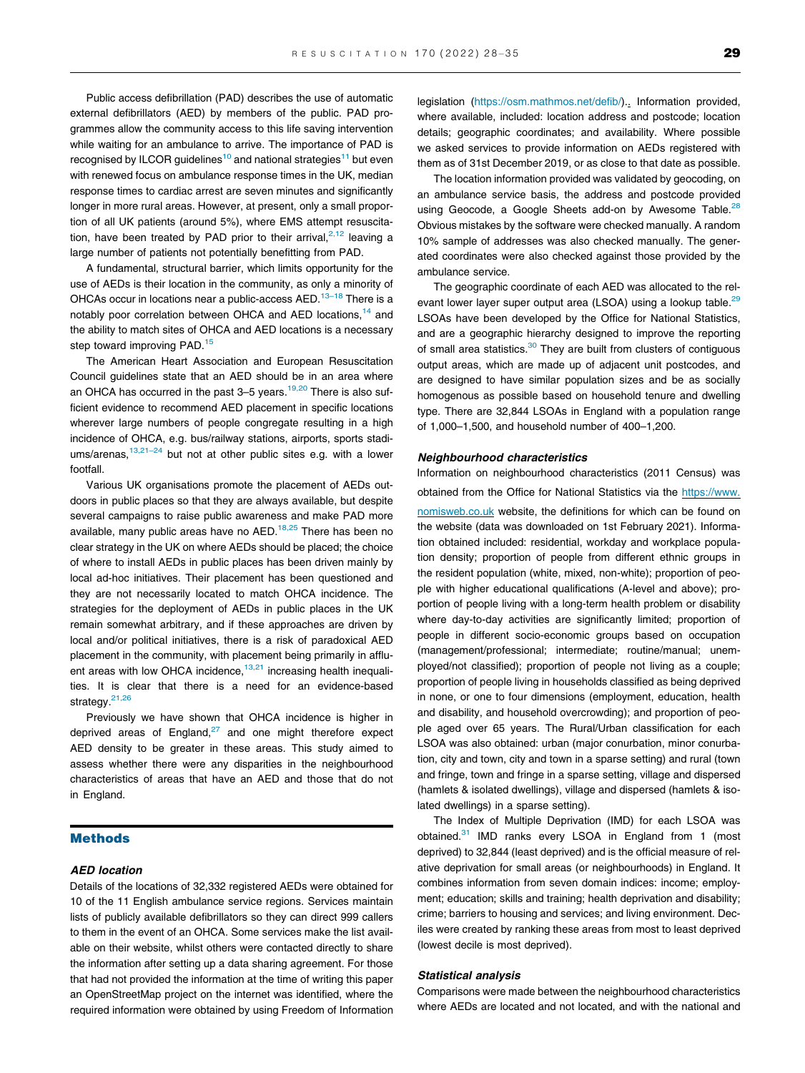Public access defibrillation (PAD) describes the use of automatic external defibrillators (AED) by members of the public. PAD programmes allow the community access to this life saving intervention while waiting for an ambulance to arrive. The importance of PAD is recognised by ILCOR guidelines<sup>[10](#page-6-0)</sup> and national strategies<sup>11</sup> but even with renewed focus on ambulance response times in the UK, median response times to cardiac arrest are seven minutes and significantly longer in more rural areas. However, at present, only a small proportion of all UK patients (around 5%), where EMS attempt resuscitation, have been treated by PAD prior to their arrival, $2,12$  leaving a large number of patients not potentially benefitting from PAD.

A fundamental, structural barrier, which limits opportunity for the use of AEDs is their location in the community, as only a minority of OHCAs occur in locations near a public-access AED.<sup>13-18</sup> There is a notably poor correlation between OHCA and AED locations,<sup>14</sup> and the ability to match sites of OHCA and AED locations is a necessary step toward improving PAD.<sup>[15](#page-6-0)</sup>

The American Heart Association and European Resuscitation Council guidelines state that an AED should be in an area where an OHCA has occurred in the past  $3-5$  years.<sup>[19,20](#page-6-0)</sup> There is also sufficient evidence to recommend AED placement in specific locations wherever large numbers of people congregate resulting in a high incidence of OHCA, e.g. bus/railway stations, airports, sports stadiums/arenas,  $13,21-24$  but not at other public sites e.g. with a lower footfall.

Various UK organisations promote the placement of AEDs outdoors in public places so that they are always available, but despite several campaigns to raise public awareness and make PAD more available, many public areas have no AED.<sup>[18,25](#page-6-0)</sup> There has been no clear strategy in the UK on where AEDs should be placed; the choice of where to install AEDs in public places has been driven mainly by local ad-hoc initiatives. Their placement has been questioned and they are not necessarily located to match OHCA incidence. The strategies for the deployment of AEDs in public places in the UK remain somewhat arbitrary, and if these approaches are driven by local and/or political initiatives, there is a risk of paradoxical AED placement in the community, with placement being primarily in affluent areas with low OHCA incidence, $13,21$  increasing health inequalities. It is clear that there is a need for an evidence-based strategy.<sup>21,26</sup>

Previously we have shown that OHCA incidence is higher in deprived areas of England, $27$  and one might therefore expect AED density to be greater in these areas. This study aimed to assess whether there were any disparities in the neighbourhood characteristics of areas that have an AED and those that do not in England.

#### Methods

#### AED location

Details of the locations of 32,332 registered AEDs were obtained for 10 of the 11 English ambulance service regions. Services maintain lists of publicly available defibrillators so they can direct 999 callers to them in the event of an OHCA. Some services make the list available on their website, whilst others were contacted directly to share the information after setting up a data sharing agreement. For those that had not provided the information at the time of writing this paper an OpenStreetMap project on the internet was identified, where the required information were obtained by using Freedom of Information legislation [\(https://osm.mathmos.net/defib/\)](https://osm.mathmos.net/defib/).. Information provided, where available, included: location address and postcode; location details; geographic coordinates; and availability. Where possible we asked services to provide information on AEDs registered with them as of 31st December 2019, or as close to that date as possible.

The location information provided was validated by geocoding, on an ambulance service basis, the address and postcode provided using Geocode, a Google Sheets add-on by Awesome Table.<sup>28</sup> Obvious mistakes by the software were checked manually. A random 10% sample of addresses was also checked manually. The generated coordinates were also checked against those provided by the ambulance service.

The geographic coordinate of each AED was allocated to the relevant lower layer super output area (LSOA) using a lookup table.<sup>29</sup> LSOAs have been developed by the Office for National Statistics, and are a geographic hierarchy designed to improve the reporting of small area statistics.<sup>[30](#page-7-0)</sup> They are built from clusters of contiguous output areas, which are made up of adjacent unit postcodes, and are designed to have similar population sizes and be as socially homogenous as possible based on household tenure and dwelling type. There are 32,844 LSOAs in England with a population range of 1,000–1,500, and household number of 400–1,200.

#### Neighbourhood characteristics

Information on neighbourhood characteristics (2011 Census) was obtained from the Office for National Statistics via the [https://www.](https://www.nomisweb.co.uk) [nomisweb.co.uk](https://www.nomisweb.co.uk) website, the definitions for which can be found on the website (data was downloaded on 1st February 2021). Information obtained included: residential, workday and workplace population density; proportion of people from different ethnic groups in the resident population (white, mixed, non-white); proportion of people with higher educational qualifications (A-level and above); proportion of people living with a long-term health problem or disability where day-to-day activities are significantly limited; proportion of people in different socio-economic groups based on occupation (management/professional; intermediate; routine/manual; unemployed/not classified); proportion of people not living as a couple; proportion of people living in households classified as being deprived in none, or one to four dimensions (employment, education, health and disability, and household overcrowding); and proportion of people aged over 65 years. The Rural/Urban classification for each LSOA was also obtained: urban (major conurbation, minor conurbation, city and town, city and town in a sparse setting) and rural (town and fringe, town and fringe in a sparse setting, village and dispersed (hamlets & isolated dwellings), village and dispersed (hamlets & isolated dwellings) in a sparse setting).

The Index of Multiple Deprivation (IMD) for each LSOA was obtained.<sup>31</sup> IMD ranks every LSOA in England from 1 (most deprived) to 32,844 (least deprived) and is the official measure of relative deprivation for small areas (or neighbourhoods) in England. It combines information from seven domain indices: income; employment; education; skills and training; health deprivation and disability; crime; barriers to housing and services; and living environment. Deciles were created by ranking these areas from most to least deprived (lowest decile is most deprived).

#### Statistical analysis

Comparisons were made between the neighbourhood characteristics where AEDs are located and not located, and with the national and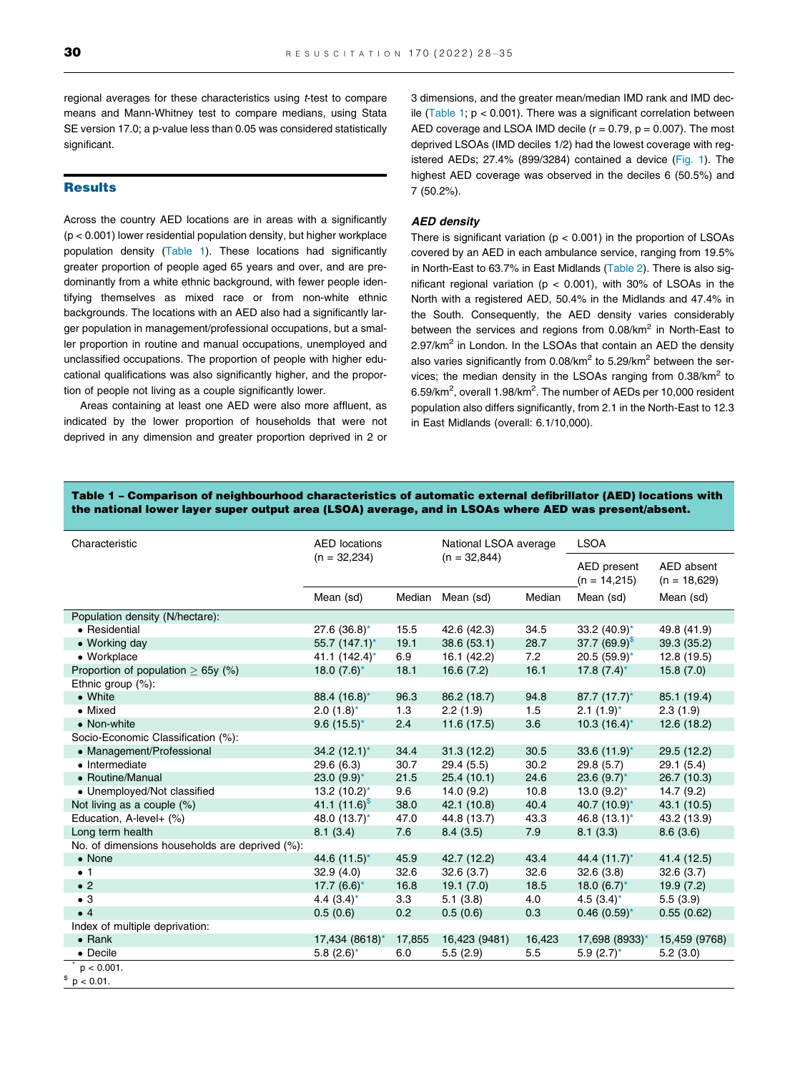regional averages for these characteristics using *t*-test to compare means and Mann-Whitney test to compare medians, using Stata SE version 17.0; a p-value less than 0.05 was considered statistically significant.

#### **Results**

Across the country AED locations are in areas with a significantly (p < 0.001) lower residential population density, but higher workplace population density (Table 1). These locations had significantly greater proportion of people aged 65 years and over, and are predominantly from a white ethnic background, with fewer people identifying themselves as mixed race or from non-white ethnic backgrounds. The locations with an AED also had a significantly larger population in management/professional occupations, but a smaller proportion in routine and manual occupations, unemployed and unclassified occupations. The proportion of people with higher educational qualifications was also significantly higher, and the proportion of people not living as a couple significantly lower.

Areas containing at least one AED were also more affluent, as indicated by the lower proportion of households that were not deprived in any dimension and greater proportion deprived in 2 or 3 dimensions, and the greater mean/median IMD rank and IMD decile (Table 1;  $p < 0.001$ ). There was a significant correlation between AED coverage and LSOA IMD decile  $(r = 0.79, p = 0.007)$ . The most deprived LSOAs (IMD deciles 1/2) had the lowest coverage with registered AEDs; 27.4% (899/3284) contained a device [\(Fig. 1](#page-3-0)). The highest AED coverage was observed in the deciles 6 (50.5%) and 7 (50.2%).

#### AED density

There is significant variation ( $p < 0.001$ ) in the proportion of LSOAs covered by an AED in each ambulance service, ranging from 19.5% in North-East to 63.7% in East Midlands [\(Table 2\)](#page-3-0). There is also significant regional variation ( $p < 0.001$ ), with 30% of LSOAs in the North with a registered AED, 50.4% in the Midlands and 47.4% in the South. Consequently, the AED density varies considerably between the services and regions from  $0.08/km^2$  in North-East to  $2.97/km<sup>2</sup>$  in London. In the LSOAs that contain an AED the density also varies significantly from  $0.08/km^2$  to 5.29/km<sup>2</sup> between the services; the median density in the LSOAs ranging from  $0.38/km^2$  to 6.59/km<sup>2</sup>, overall 1.98/km<sup>2</sup>. The number of AEDs per 10,000 resident population also differs significantly, from 2.1 in the North-East to 12.3 in East Midlands (overall: 6.1/10,000).

#### Table 1 – Comparison of neighbourhood characteristics of automatic external defibrillator (AED) locations with the national lower layer super output area (LSOA) average, and in LSOAs where AED was present/absent.

| Characteristic                                 | <b>AED</b> locations |        | National LSOA average |        | <b>LSOA</b>                   |                              |  |
|------------------------------------------------|----------------------|--------|-----------------------|--------|-------------------------------|------------------------------|--|
|                                                | $(n = 32,234)$       |        | $(n = 32,844)$        |        | AED present<br>$(n = 14,215)$ | AED absent<br>$(n = 18,629)$ |  |
|                                                | Mean (sd)            | Median | Mean (sd)             | Median | Mean (sd)                     | Mean (sd)                    |  |
| Population density (N/hectare):                |                      |        |                       |        |                               |                              |  |
| • Residential                                  | $27.6$ (36.8)*       | 15.5   | 42.6 (42.3)           | 34.5   | 33.2 $(40.9)^*$               | 49.8 (41.9)                  |  |
| • Working day                                  | 55.7 (147.1)*        | 19.1   | 38.6 (53.1)           | 28.7   | 37.7 $(69.9)^{\frac{1}{9}}$   | 39.3 (35.2)                  |  |
| • Workplace                                    | 41.1 (142.4)*        | 6.9    | 16.1 (42.2)           | 7.2    | $20.5(59.9)$ *                | 12.8 (19.5)                  |  |
| Proportion of population $> 65y$ (%)           | 18.0 $(7.6)^*$       | 18.1   | 16.6(7.2)             | 16.1   | 17.8 $(7.4)^*$                | 15.8(7.0)                    |  |
| Ethnic group (%):                              |                      |        |                       |        |                               |                              |  |
| • White                                        | 88.4 (16.8)*         | 96.3   | 86.2 (18.7)           | 94.8   | $87.7 (17.7)^*$               | 85.1 (19.4)                  |  |
| • Mixed                                        | $2.0(1.8)$ *         | 1.3    | 2.2(1.9)              | 1.5    | $2.1(1.9)^*$                  | 2.3(1.9)                     |  |
| • Non-white                                    | $9.6(15.5)^*$        | 2.4    | 11.6(17.5)            | 3.6    | $10.3(16.4)^{*}$              | 12.6(18.2)                   |  |
| Socio-Economic Classification (%):             |                      |        |                       |        |                               |                              |  |
| • Management/Professional                      | $34.2 (12.1)^*$      | 34.4   | 31.3(12.2)            | 30.5   | 33.6 $(11.9)^*$               | 29.5 (12.2)                  |  |
| • Intermediate                                 | 29.6 (6.3)           | 30.7   | 29.4(5.5)             | 30.2   | 29.8(5.7)                     | 29.1(5.4)                    |  |
| • Routine/Manual                               | 23.0 $(9.9)^*$       | 21.5   | 25.4(10.1)            | 24.6   | $23.6(9.7)^{*}$               | 26.7 (10.3)                  |  |
| • Unemployed/Not classified                    | 13.2 $(10.2)^*$      | 9.6    | 14.0(9.2)             | 10.8   | 13.0 $(9.2)^*$                | 14.7(9.2)                    |  |
| Not living as a couple (%)                     | 41.1 $(11.6)^{5}$    | 38.0   | 42.1 (10.8)           | 40.4   | 40.7 (10.9)*                  | 43.1 (10.5)                  |  |
| Education, A-level+ (%)                        | 48.0 (13.7)*         | 47.0   | 44.8 (13.7)           | 43.3   | 46.8 $(13.1)^*$               | 43.2 (13.9)                  |  |
| Long term health                               | 8.1(3.4)             | 7.6    | 8.4(3.5)              | 7.9    | 8.1(3.3)                      | 8.6(3.6)                     |  |
| No. of dimensions households are deprived (%): |                      |        |                       |        |                               |                              |  |
| • None                                         | 44.6 $(11.5)^*$      | 45.9   | 42.7 (12.2)           | 43.4   | 44.4 $(11.7)^*$               | 41.4 (12.5)                  |  |
| $\bullet$ 1                                    | 32.9(4.0)            | 32.6   | 32.6(3.7)             | 32.6   | 32.6(3.8)                     | 32.6(3.7)                    |  |
| $\bullet$ 2                                    | $17.7(6.6)$ *        | 16.8   | 19.1(7.0)             | 18.5   | 18.0 $(6.7)^*$                | 19.9(7.2)                    |  |
| $\bullet$ 3                                    | 4.4 $(3.4)^*$        | 3.3    | 5.1(3.8)              | 4.0    | 4.5 $(3.4)^*$                 | 5.5(3.9)                     |  |
| $\bullet$ 4                                    | 0.5(0.6)             | 0.2    | 0.5(0.6)              | 0.3    | $0.46(0.59)$ *                | 0.55(0.62)                   |  |
| Index of multiple deprivation:                 |                      |        |                       |        |                               |                              |  |
| $\bullet$ Rank                                 | 17,434 (8618)*       | 17,855 | 16,423 (9481)         | 16,423 | 17,698 (8933)*                | 15,459 (9768)                |  |
| • Decile                                       | $5.8(2.6)$ *         | 6.0    | 5.5(2.9)              | 5.5    | $5.9(2.7)^*$                  | 5.2(3.0)                     |  |
| $p < 0.001$ .                                  |                      |        |                       |        |                               |                              |  |
| \$<br>$p < 0.01$ .                             |                      |        |                       |        |                               |                              |  |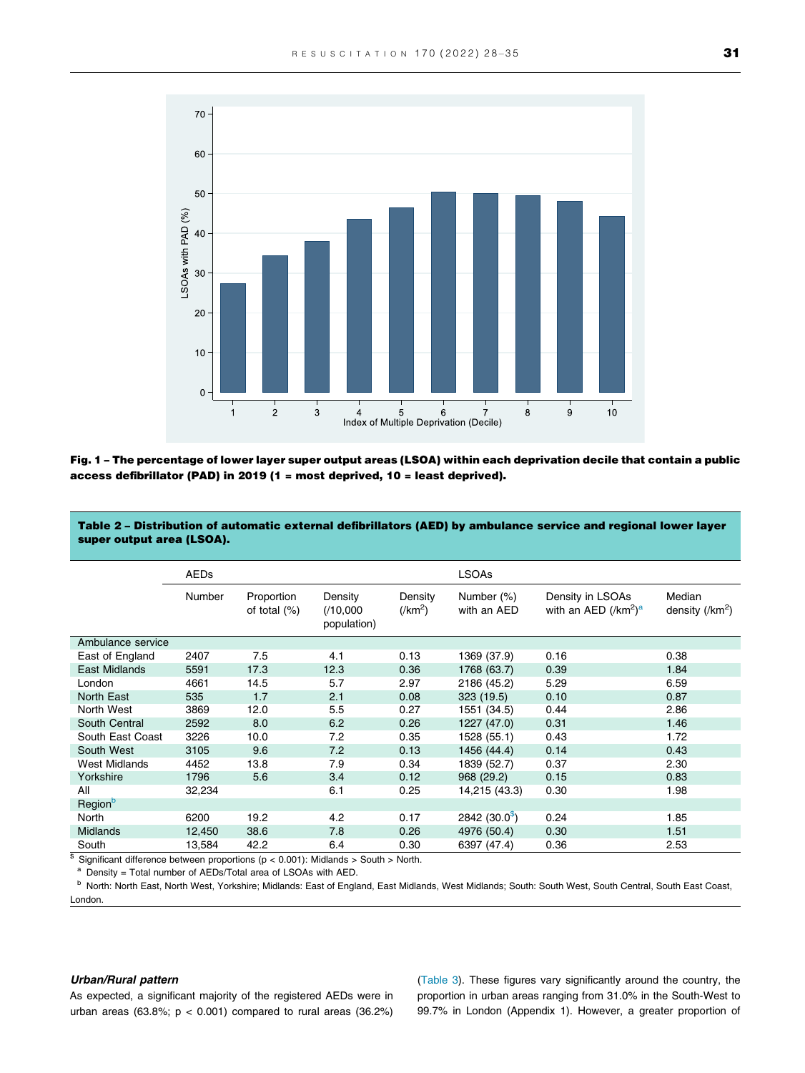<span id="page-3-0"></span>

Fig. 1 – The percentage of lower layer super output areas (LSOA) within each deprivation decile that contain a public access defibrillator (PAD) in 2019 (1 = most deprived, 10 = least deprived).

Table 2 – Distribution of automatic external defibrillators (AED) by ambulance service and regional lower layer super output area (LSOA).

|                      | <b>AEDs</b> |                               |                                    |                             | <b>LSOAs</b>              |                                                    |                                    |  |
|----------------------|-------------|-------------------------------|------------------------------------|-----------------------------|---------------------------|----------------------------------------------------|------------------------------------|--|
|                      | Number      | Proportion<br>of total $(\%)$ | Density<br>(10,000)<br>population) | Density<br>$(\text{/km}^2)$ | Number (%)<br>with an AED | Density in LSOAs<br>with an AED $(\text{/km}^2)^a$ | Median<br>density $(\text{/km}^2)$ |  |
| Ambulance service    |             |                               |                                    |                             |                           |                                                    |                                    |  |
| East of England      | 2407        | 7.5                           | 4.1                                | 0.13                        | 1369 (37.9)               | 0.16                                               | 0.38                               |  |
| East Midlands        | 5591        | 17.3                          | 12.3                               | 0.36                        | 1768 (63.7)               | 0.39                                               | 1.84                               |  |
| London               | 4661        | 14.5                          | 5.7                                | 2.97                        | 2186 (45.2)               | 5.29                                               | 6.59                               |  |
| North East           | 535         | 1.7                           | 2.1                                | 0.08                        | 323 (19.5)                | 0.10                                               | 0.87                               |  |
| North West           | 3869        | 12.0                          | 5.5                                | 0.27                        | 1551 (34.5)               | 0.44                                               | 2.86                               |  |
| South Central        | 2592        | 8.0                           | 6.2                                | 0.26                        | 1227 (47.0)               | 0.31                                               | 1.46                               |  |
| South East Coast     | 3226        | 10.0                          | 7.2                                | 0.35                        | 1528 (55.1)               | 0.43                                               | 1.72                               |  |
| South West           | 3105        | 9.6                           | 7.2                                | 0.13                        | 1456 (44.4)               | 0.14                                               | 0.43                               |  |
| <b>West Midlands</b> | 4452        | 13.8                          | 7.9                                | 0.34                        | 1839 (52.7)               | 0.37                                               | 2.30                               |  |
| Yorkshire            | 1796        | 5.6                           | 3.4                                | 0.12                        | 968 (29.2)                | 0.15                                               | 0.83                               |  |
| All                  | 32,234      |                               | 6.1                                | 0.25                        | 14,215 (43.3)             | 0.30                                               | 1.98                               |  |
| Region <sup>b</sup>  |             |                               |                                    |                             |                           |                                                    |                                    |  |
| <b>North</b>         | 6200        | 19.2                          | 4.2                                | 0.17                        | $2842(30.0^{\circ})$      | 0.24                                               | 1.85                               |  |
| <b>Midlands</b>      | 12,450      | 38.6                          | 7.8                                | 0.26                        | 4976 (50.4)               | 0.30                                               | 1.51                               |  |
| South                | 13,584      | 42.2                          | 6.4                                | 0.30                        | 6397 (47.4)               | 0.36                                               | 2.53                               |  |

 $\frac{1}{8}$  Significant difference between proportions (p < 0.001): Midlands > South > North.

<sup>a</sup> Density = Total number of AEDs/Total area of LSOAs with AED.

<sup>b</sup> North: North East, North West, Yorkshire; Midlands: East of England, East Midlands, West Midlands; South: South West, South Central, South East Coast, London.

#### Urban/Rural pattern

As expected, a significant majority of the registered AEDs were in urban areas (63.8%;  $p < 0.001$ ) compared to rural areas (36.2%)

([Table 3](#page-4-0)). These figures vary significantly around the country, the proportion in urban areas ranging from 31.0% in the South-West to 99.7% in London (Appendix 1). However, a greater proportion of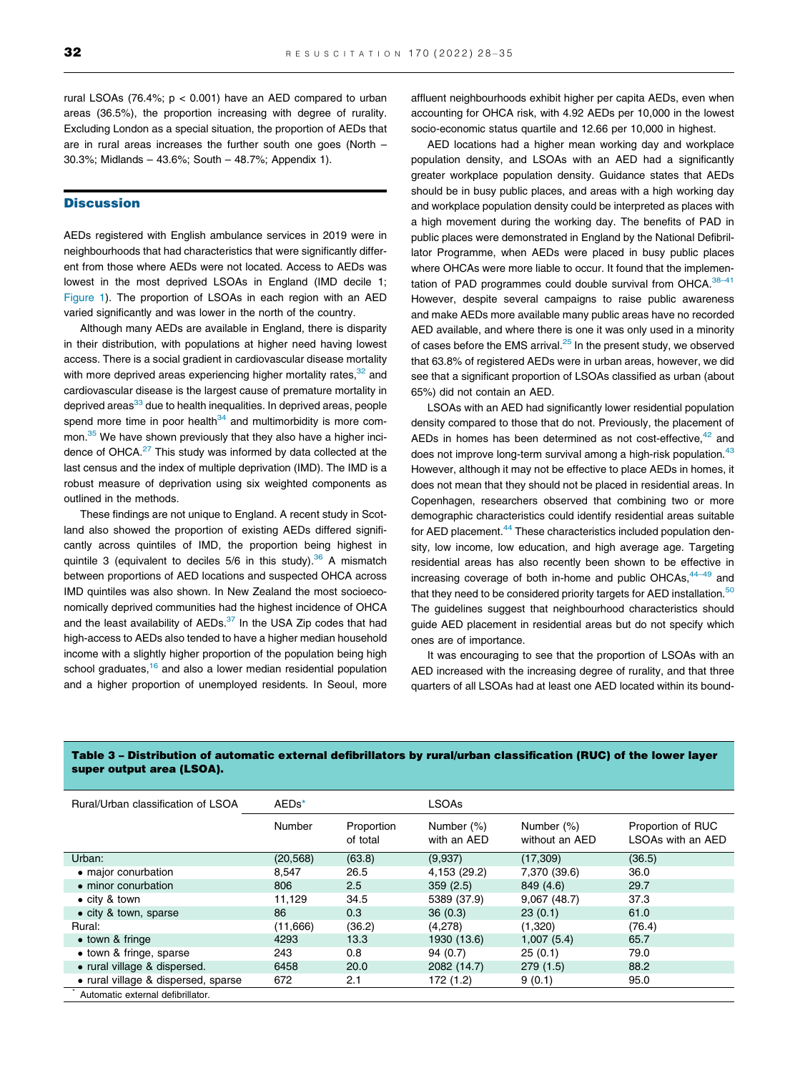<span id="page-4-0"></span>rural LSOAs (76.4%;  $p < 0.001$ ) have an AED compared to urban areas (36.5%), the proportion increasing with degree of rurality. Excluding London as a special situation, the proportion of AEDs that are in rural areas increases the further south one goes (North – 30.3%; Midlands – 43.6%; South – 48.7%; Appendix 1).

#### **Discussion**

AEDs registered with English ambulance services in 2019 were in neighbourhoods that had characteristics that were significantly different from those where AEDs were not located. Access to AEDs was lowest in the most deprived LSOAs in England (IMD decile 1; [Figure 1\)](#page-3-0). The proportion of LSOAs in each region with an AED varied significantly and was lower in the north of the country.

Although many AEDs are available in England, there is disparity in their distribution, with populations at higher need having lowest access. There is a social gradient in cardiovascular disease mortality with more deprived areas experiencing higher mortality rates,<sup>32</sup> and cardiovascular disease is the largest cause of premature mortality in deprived areas<sup>33</sup> due to health inequalities. In deprived areas, people spend more time in poor health $34$  and multimorbidity is more com-mon.<sup>[35](#page-7-0)</sup> We have shown previously that they also have a higher inci-dence of OHCA.<sup>[27](#page-6-0)</sup> This study was informed by data collected at the last census and the index of multiple deprivation (IMD). The IMD is a robust measure of deprivation using six weighted components as outlined in the methods.

These findings are not unique to England. A recent study in Scotland also showed the proportion of existing AEDs differed significantly across quintiles of IMD, the proportion being highest in quintile 3 (equivalent to deciles  $5/6$  in this study).<sup>36</sup> A mismatch between proportions of AED locations and suspected OHCA across IMD quintiles was also shown. In New Zealand the most socioeconomically deprived communities had the highest incidence of OHCA and the least availability of  $AEDs<sup>37</sup>$  $AEDs<sup>37</sup>$  $AEDs<sup>37</sup>$  In the USA Zip codes that had high-access to AEDs also tended to have a higher median household income with a slightly higher proportion of the population being high school graduates, $16$  and also a lower median residential population and a higher proportion of unemployed residents. In Seoul, more

affluent neighbourhoods exhibit higher per capita AEDs, even when accounting for OHCA risk, with 4.92 AEDs per 10,000 in the lowest socio-economic status quartile and 12.66 per 10,000 in highest.

AED locations had a higher mean working day and workplace population density, and LSOAs with an AED had a significantly greater workplace population density. Guidance states that AEDs should be in busy public places, and areas with a high working day and workplace population density could be interpreted as places with a high movement during the working day. The benefits of PAD in public places were demonstrated in England by the National Defibrillator Programme, when AEDs were placed in busy public places where OHCAs were more liable to occur. It found that the implementation of PAD programmes could double survival from OHCA. 38-41 However, despite several campaigns to raise public awareness and make AEDs more available many public areas have no recorded AED available, and where there is one it was only used in a minority of cases before the EMS arrival. $25$  In the present study, we observed that 63.8% of registered AEDs were in urban areas, however, we did see that a significant proportion of LSOAs classified as urban (about 65%) did not contain an AED.

LSOAs with an AED had significantly lower residential population density compared to those that do not. Previously, the placement of AEDs in homes has been determined as not cost-effective, $42$  and does not improve long-term survival among a high-risk population. $43$ However, although it may not be effective to place AEDs in homes, it does not mean that they should not be placed in residential areas. In Copenhagen, researchers observed that combining two or more demographic characteristics could identify residential areas suitable for AED placement.<sup>[44](#page-7-0)</sup> These characteristics included population density, low income, low education, and high average age. Targeting residential areas has also recently been shown to be effective in increasing coverage of both in-home and public OHCAs,  $44-49$  and that they need to be considered priority targets for AED installation.<sup>[50](#page-7-0)</sup> The guidelines suggest that neighbourhood characteristics should guide AED placement in residential areas but do not specify which ones are of importance.

It was encouraging to see that the proportion of LSOAs with an AED increased with the increasing degree of rurality, and that three quarters of all LSOAs had at least one AED located within its bound-

| Rural/Urban classification of LSOA  | AED <sub>s</sub> * |                        | <b>LSOAs</b>              |                              |                                        |  |
|-------------------------------------|--------------------|------------------------|---------------------------|------------------------------|----------------------------------------|--|
|                                     | Number             | Proportion<br>of total | Number (%)<br>with an AED | Number (%)<br>without an AED | Proportion of RUC<br>LSOAs with an AED |  |
| Urban:                              | (20, 568)          | (63.8)                 | (9,937)                   | (17,309)                     | (36.5)                                 |  |
| • major conurbation                 | 8.547              | 26.5                   | 4,153 (29.2)              | 7,370 (39.6)                 | 36.0                                   |  |
| • minor conurbation                 | 806                | 2.5                    | 359(2.5)                  | 849 (4.6)                    | 29.7                                   |  |
| $\bullet$ city & town               | 11.129             | 34.5                   | 5389 (37.9)               | 9,067(48.7)                  | 37.3                                   |  |
| • city & town, sparse               | 86                 | 0.3                    | 36(0.3)                   | 23(0.1)                      | 61.0                                   |  |
| Rural:                              | (11,666)           | (36.2)                 | (4,278)                   | (1,320)                      | (76.4)                                 |  |
| $\bullet$ town & fringe             | 4293               | 13.3                   | 1930 (13.6)               | 1,007(5.4)                   | 65.7                                   |  |
| • town & fringe, sparse             | 243                | 0.8                    | 94(0.7)                   | 25(0.1)                      | 79.0                                   |  |
| • rural village & dispersed.        | 6458               | 20.0                   | 2082 (14.7)               | 279(1.5)                     | 88.2                                   |  |
| • rural village & dispersed, sparse | 672                | 2.1                    | 172 (1.2)                 | 9(0.1)                       | 95.0                                   |  |
| Automatic external defibrillator.   |                    |                        |                           |                              |                                        |  |

#### Table 3 – Distribution of automatic external defibrillators by rural/urban classification (RUC) of the lower layer super output area (LSOA).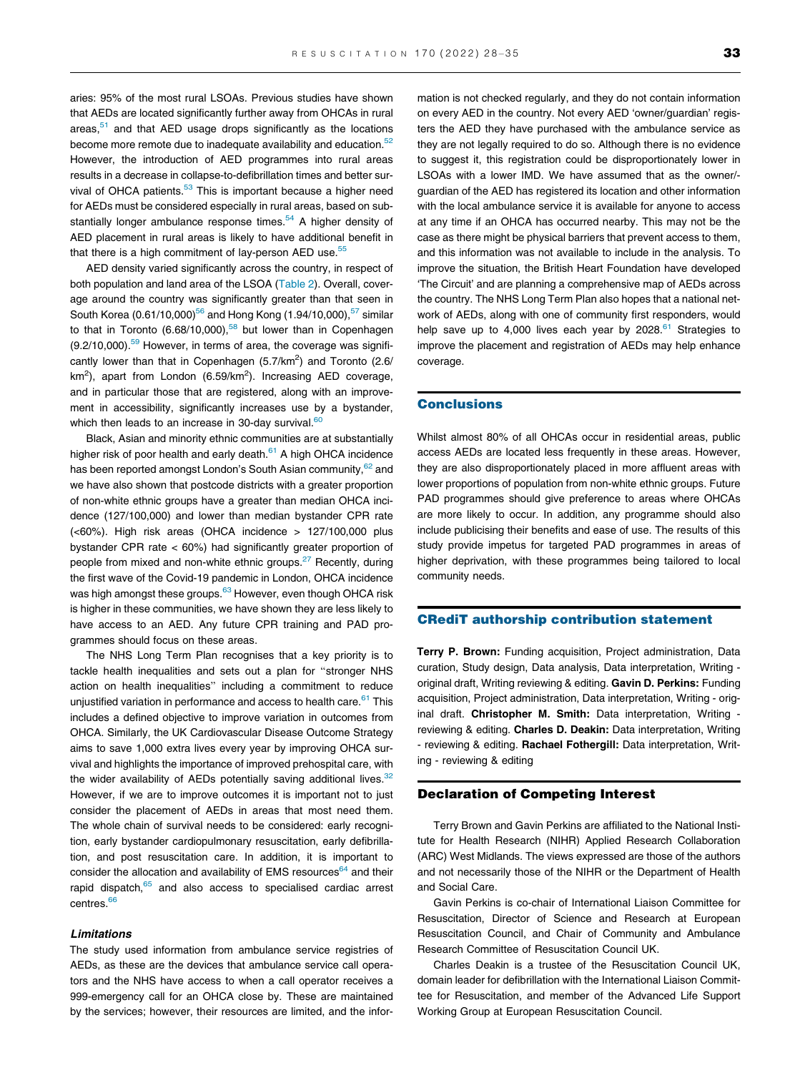aries: 95% of the most rural LSOAs. Previous studies have shown that AEDs are located significantly further away from OHCAs in rural areas, $51$  and that AED usage drops significantly as the locations become more remote due to inadequate availability and education.<sup>52</sup> However, the introduction of AED programmes into rural areas results in a decrease in collapse-to-defibrillation times and better survival of OHCA patients.<sup>53</sup> This is important because a higher need for AEDs must be considered especially in rural areas, based on substantially longer ambulance response times. $54$  A higher density of AED placement in rural areas is likely to have additional benefit in that there is a high commitment of lay-person AED use.<sup>55</sup>

AED density varied significantly across the country, in respect of both population and land area of the LSOA [\(Table 2](#page-3-0)). Overall, coverage around the country was significantly greater than that seen in South Korea (0.61/10,000)<sup>[56](#page-7-0)</sup> and Hong Kong (1.94/10,000),<sup>57</sup> similar to that in Toronto (6.68/10,000),<sup>58</sup> but lower than in Copenhagen  $(9.2/10,000)$ .<sup>[59](#page-7-0)</sup> However, in terms of area, the coverage was significantly lower than that in Copenhagen  $(5.7/\text{km}^2)$  and Toronto  $(2.6/\text{m}^2)$ km<sup>2</sup>), apart from London (6.59/km<sup>2</sup>). Increasing AED coverage, and in particular those that are registered, along with an improvement in accessibility, significantly increases use by a bystander, which then leads to an increase in 30-day survival. $60$ 

Black, Asian and minority ethnic communities are at substantially higher risk of poor health and early death. $61$  A high OHCA incidence has been reported amongst London's South Asian community, <sup>[62](#page-7-0)</sup> and we have also shown that postcode districts with a greater proportion of non-white ethnic groups have a greater than median OHCA incidence (127/100,000) and lower than median bystander CPR rate (<60%). High risk areas (OHCA incidence > 127/100,000 plus bystander CPR rate < 60%) had significantly greater proportion of people from mixed and non-white ethnic groups.<sup>[27](#page-6-0)</sup> Recently, during the first wave of the Covid-19 pandemic in London, OHCA incidence was high amongst these groups.<sup>[63](#page-7-0)</sup> However, even though OHCA risk is higher in these communities, we have shown they are less likely to have access to an AED. Any future CPR training and PAD programmes should focus on these areas.

The NHS Long Term Plan recognises that a key priority is to tackle health inequalities and sets out a plan for "stronger NHS action on health inequalities" including a commitment to reduce unjustified variation in performance and access to health care. $61$  This includes a defined objective to improve variation in outcomes from OHCA. Similarly, the UK Cardiovascular Disease Outcome Strategy aims to save 1,000 extra lives every year by improving OHCA survival and highlights the importance of improved prehospital care, with the wider availability of AEDs potentially saving additional lives. $32$ However, if we are to improve outcomes it is important not to just consider the placement of AEDs in areas that most need them. The whole chain of survival needs to be considered: early recognition, early bystander cardiopulmonary resuscitation, early defibrillation, and post resuscitation care. In addition, it is important to consider the allocation and availability of EMS resources<sup>64</sup> and their rapid dispatch,<sup>[65](#page-7-0)</sup> and also access to specialised cardiac arrest centres<sup>66</sup>

#### Limitations

The study used information from ambulance service registries of AEDs, as these are the devices that ambulance service call operators and the NHS have access to when a call operator receives a 999-emergency call for an OHCA close by. These are maintained by the services; however, their resources are limited, and the information is not checked regularly, and they do not contain information on every AED in the country. Not every AED 'owner/guardian' registers the AED they have purchased with the ambulance service as they are not legally required to do so. Although there is no evidence to suggest it, this registration could be disproportionately lower in LSOAs with a lower IMD. We have assumed that as the owner/ guardian of the AED has registered its location and other information with the local ambulance service it is available for anyone to access at any time if an OHCA has occurred nearby. This may not be the case as there might be physical barriers that prevent access to them, and this information was not available to include in the analysis. To improve the situation, the British Heart Foundation have developed 'The Circuit' and are planning a comprehensive map of AEDs across the country. The NHS Long Term Plan also hopes that a national network of AEDs, along with one of community first responders, would help save up to 4,000 lives each year by  $2028$ .<sup>[61](#page-7-0)</sup> Strategies to improve the placement and registration of AEDs may help enhance coverage.

#### **Conclusions**

Whilst almost 80% of all OHCAs occur in residential areas, public access AEDs are located less frequently in these areas. However, they are also disproportionately placed in more affluent areas with lower proportions of population from non-white ethnic groups. Future PAD programmes should give preference to areas where OHCAs are more likely to occur. In addition, any programme should also include publicising their benefits and ease of use. The results of this study provide impetus for targeted PAD programmes in areas of higher deprivation, with these programmes being tailored to local community needs.

#### CRediT authorship contribution statement

Terry P. Brown: Funding acquisition, Project administration, Data curation, Study design, Data analysis, Data interpretation, Writing original draft, Writing reviewing & editing. Gavin D. Perkins: Funding acquisition, Project administration, Data interpretation, Writing - original draft. Christopher M. Smith: Data interpretation, Writing reviewing & editing. Charles D. Deakin: Data interpretation, Writing - reviewing & editing. Rachael Fothergill: Data interpretation, Writing - reviewing & editing

#### Declaration of Competing Interest

Terry Brown and Gavin Perkins are affiliated to the National Institute for Health Research (NIHR) Applied Research Collaboration (ARC) West Midlands. The views expressed are those of the authors and not necessarily those of the NIHR or the Department of Health and Social Care.

Gavin Perkins is co-chair of International Liaison Committee for Resuscitation, Director of Science and Research at European Resuscitation Council, and Chair of Community and Ambulance Research Committee of Resuscitation Council UK.

Charles Deakin is a trustee of the Resuscitation Council UK, domain leader for defibrillation with the International Liaison Committee for Resuscitation, and member of the Advanced Life Support Working Group at European Resuscitation Council.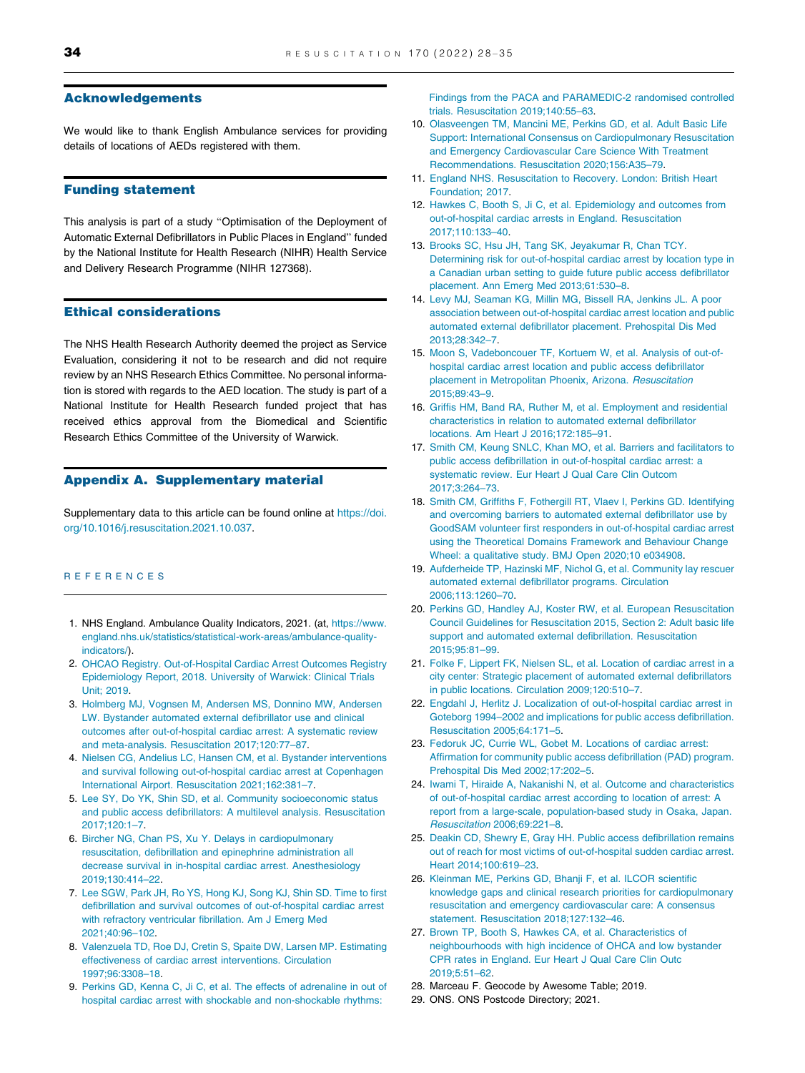#### <span id="page-6-0"></span>Acknowledgements

We would like to thank English Ambulance services for providing details of locations of AEDs registered with them.

#### Funding statement

This analysis is part of a study "Optimisation of the Deployment of Automatic External Defibrillators in Public Places in England" funded by the National Institute for Health Research (NIHR) Health Service and Delivery Research Programme (NIHR 127368).

#### Ethical considerations

The NHS Health Research Authority deemed the project as Service Evaluation, considering it not to be research and did not require review by an NHS Research Ethics Committee. No personal information is stored with regards to the AED location. The study is part of a National Institute for Health Research funded project that has received ethics approval from the Biomedical and Scientific Research Ethics Committee of the University of Warwick.

#### Appendix A. Supplementary material

Supplementary data to this article can be found online at [https://doi.](https://doi.org/10.1016/j.resuscitation.2021.10.037) [org/10.1016/j.resuscitation.2021.10.037](https://doi.org/10.1016/j.resuscitation.2021.10.037).

#### REFERENCES

- 1. NHS England. Ambulance Quality Indicators, 2021. (at, [https://www.](https://www.england.nhs.uk/statistics/statistical-work-areas/ambulance-quality-indicators/) [england.nhs.uk/statistics/statistical-work-areas/ambulance-quality](https://www.england.nhs.uk/statistics/statistical-work-areas/ambulance-quality-indicators/)[indicators/\)](https://www.england.nhs.uk/statistics/statistical-work-areas/ambulance-quality-indicators/).
- 2. [OHCAO Registry. Out-of-Hospital Cardiac Arrest Outcomes Registry](http://refhub.elsevier.com/S0300-9572(21)00444-5/h0010) [Epidemiology Report, 2018. University of Warwick: Clinical Trials](http://refhub.elsevier.com/S0300-9572(21)00444-5/h0010) [Unit; 2019](http://refhub.elsevier.com/S0300-9572(21)00444-5/h0010).
- 3. [Holmberg MJ, Vognsen M, Andersen MS, Donnino MW, Andersen](http://refhub.elsevier.com/S0300-9572(21)00444-5/h0015) [LW. Bystander automated external defibrillator use and clinical](http://refhub.elsevier.com/S0300-9572(21)00444-5/h0015) [outcomes after out-of-hospital cardiac arrest: A systematic review](http://refhub.elsevier.com/S0300-9572(21)00444-5/h0015) [and meta-analysis. Resuscitation 2017;120:77–87](http://refhub.elsevier.com/S0300-9572(21)00444-5/h0015).
- 4. [Nielsen CG, Andelius LC, Hansen CM, et al. Bystander interventions](http://refhub.elsevier.com/S0300-9572(21)00444-5/h0020) [and survival following out-of-hospital cardiac arrest at Copenhagen](http://refhub.elsevier.com/S0300-9572(21)00444-5/h0020) [International Airport. Resuscitation 2021;162:381–7.](http://refhub.elsevier.com/S0300-9572(21)00444-5/h0020)
- 5. [Lee SY, Do YK, Shin SD, et al. Community socioeconomic status](http://refhub.elsevier.com/S0300-9572(21)00444-5/h0025) [and public access defibrillators: A multilevel analysis. Resuscitation](http://refhub.elsevier.com/S0300-9572(21)00444-5/h0025) [2017;120:1–7](http://refhub.elsevier.com/S0300-9572(21)00444-5/h0025).
- 6. [Bircher NG, Chan PS, Xu Y. Delays in cardiopulmonary](http://refhub.elsevier.com/S0300-9572(21)00444-5/h0030) [resuscitation, defibrillation and epinephrine administration all](http://refhub.elsevier.com/S0300-9572(21)00444-5/h0030) [decrease survival in in-hospital cardiac arrest. Anesthesiology](http://refhub.elsevier.com/S0300-9572(21)00444-5/h0030) [2019;130:414–22.](http://refhub.elsevier.com/S0300-9572(21)00444-5/h0030)
- 7. [Lee SGW, Park JH, Ro YS, Hong KJ, Song KJ, Shin SD. Time to first](http://refhub.elsevier.com/S0300-9572(21)00444-5/h0035) [defibrillation and survival outcomes of out-of-hospital cardiac arrest](http://refhub.elsevier.com/S0300-9572(21)00444-5/h0035) [with refractory ventricular fibrillation. Am J Emerg Med](http://refhub.elsevier.com/S0300-9572(21)00444-5/h0035) [2021;40:96–102](http://refhub.elsevier.com/S0300-9572(21)00444-5/h0035).
- 8. [Valenzuela TD, Roe DJ, Cretin S, Spaite DW, Larsen MP. Estimating](http://refhub.elsevier.com/S0300-9572(21)00444-5/h0040) [effectiveness of cardiac arrest interventions. Circulation](http://refhub.elsevier.com/S0300-9572(21)00444-5/h0040) [1997;96:3308–18.](http://refhub.elsevier.com/S0300-9572(21)00444-5/h0040)
- 9. [Perkins GD, Kenna C, Ji C, et al. The effects of adrenaline in out of](http://refhub.elsevier.com/S0300-9572(21)00444-5/h0045) [hospital cardiac arrest with shockable and non-shockable rhythms:](http://refhub.elsevier.com/S0300-9572(21)00444-5/h0045)

[Findings from the PACA and PARAMEDIC-2 randomised controlled](http://refhub.elsevier.com/S0300-9572(21)00444-5/h0045) [trials. Resuscitation 2019;140:55–63.](http://refhub.elsevier.com/S0300-9572(21)00444-5/h0045)

- 10. [Olasveengen TM, Mancini ME, Perkins GD, et al. Adult Basic Life](http://refhub.elsevier.com/S0300-9572(21)00444-5/h0050) [Support: International Consensus on Cardiopulmonary Resuscitation](http://refhub.elsevier.com/S0300-9572(21)00444-5/h0050) [and Emergency Cardiovascular Care Science With Treatment](http://refhub.elsevier.com/S0300-9572(21)00444-5/h0050) [Recommendations. Resuscitation 2020;156:A35–79.](http://refhub.elsevier.com/S0300-9572(21)00444-5/h0050)
- 11. [England NHS. Resuscitation to Recovery. London: British Heart](http://refhub.elsevier.com/S0300-9572(21)00444-5/h0055) [Foundation; 2017](http://refhub.elsevier.com/S0300-9572(21)00444-5/h0055).
- 12. [Hawkes C, Booth S, Ji C, et al. Epidemiology and outcomes from](http://refhub.elsevier.com/S0300-9572(21)00444-5/h0060) [out-of-hospital cardiac arrests in England. Resuscitation](http://refhub.elsevier.com/S0300-9572(21)00444-5/h0060) [2017;110:133–40.](http://refhub.elsevier.com/S0300-9572(21)00444-5/h0060)
- 13. [Brooks SC, Hsu JH, Tang SK, Jeyakumar R, Chan TCY.](http://refhub.elsevier.com/S0300-9572(21)00444-5/h0065) [Determining risk for out-of-hospital cardiac arrest by location type in](http://refhub.elsevier.com/S0300-9572(21)00444-5/h0065) [a Canadian urban setting to guide future public access defibrillator](http://refhub.elsevier.com/S0300-9572(21)00444-5/h0065) [placement. Ann Emerg Med 2013;61:530–8.](http://refhub.elsevier.com/S0300-9572(21)00444-5/h0065)
- 14. [Levy MJ, Seaman KG, Millin MG, Bissell RA, Jenkins JL. A poor](http://refhub.elsevier.com/S0300-9572(21)00444-5/h0070) [association between out-of-hospital cardiac arrest location and public](http://refhub.elsevier.com/S0300-9572(21)00444-5/h0070) [automated external defibrillator placement. Prehospital Dis Med](http://refhub.elsevier.com/S0300-9572(21)00444-5/h0070) [2013;28:342–7.](http://refhub.elsevier.com/S0300-9572(21)00444-5/h0070)
- 15. [Moon S, Vadeboncouer TF, Kortuem W, et al. Analysis of out-of](http://refhub.elsevier.com/S0300-9572(21)00444-5/h0075)[hospital cardiac arrest location and public access defibrillator](http://refhub.elsevier.com/S0300-9572(21)00444-5/h0075) [placement in Metropolitan Phoenix, Arizona.](http://refhub.elsevier.com/S0300-9572(21)00444-5/h0075) Resuscitation [2015;89:43–9.](http://refhub.elsevier.com/S0300-9572(21)00444-5/h0075)
- 16. [Griffis HM, Band RA, Ruther M, et al. Employment and residential](http://refhub.elsevier.com/S0300-9572(21)00444-5/h0080) [characteristics in relation to automated external defibrillator](http://refhub.elsevier.com/S0300-9572(21)00444-5/h0080) [locations. Am Heart J 2016;172:185–91.](http://refhub.elsevier.com/S0300-9572(21)00444-5/h0080)
- 17. [Smith CM, Keung SNLC, Khan MO, et al. Barriers and facilitators to](http://refhub.elsevier.com/S0300-9572(21)00444-5/h0085) [public access defibrillation in out-of-hospital cardiac arrest: a](http://refhub.elsevier.com/S0300-9572(21)00444-5/h0085) [systematic review. Eur Heart J Qual Care Clin Outcom](http://refhub.elsevier.com/S0300-9572(21)00444-5/h0085) [2017;3:264–73.](http://refhub.elsevier.com/S0300-9572(21)00444-5/h0085)
- 18. [Smith CM, Griffiths F, Fothergill RT, Vlaev I, Perkins GD. Identifying](http://refhub.elsevier.com/S0300-9572(21)00444-5/h0090) [and overcoming barriers to automated external defibrillator use by](http://refhub.elsevier.com/S0300-9572(21)00444-5/h0090) [GoodSAM volunteer first responders in out-of-hospital cardiac arrest](http://refhub.elsevier.com/S0300-9572(21)00444-5/h0090) [using the Theoretical Domains Framework and Behaviour Change](http://refhub.elsevier.com/S0300-9572(21)00444-5/h0090) [Wheel: a qualitative study. BMJ Open 2020;10 e034908](http://refhub.elsevier.com/S0300-9572(21)00444-5/h0090).
- 19. [Aufderheide TP, Hazinski MF, Nichol G, et al. Community lay rescuer](http://refhub.elsevier.com/S0300-9572(21)00444-5/h0095) [automated external defibrillator programs. Circulation](http://refhub.elsevier.com/S0300-9572(21)00444-5/h0095) [2006;113:1260–70](http://refhub.elsevier.com/S0300-9572(21)00444-5/h0095).
- 20. [Perkins GD, Handley AJ, Koster RW, et al. European Resuscitation](http://refhub.elsevier.com/S0300-9572(21)00444-5/h0100) [Council Guidelines for Resuscitation 2015, Section 2: Adult basic life](http://refhub.elsevier.com/S0300-9572(21)00444-5/h0100) [support and automated external defibrillation. Resuscitation](http://refhub.elsevier.com/S0300-9572(21)00444-5/h0100) [2015;95:81–99.](http://refhub.elsevier.com/S0300-9572(21)00444-5/h0100)
- 21. [Folke F, Lippert FK, Nielsen SL, et al. Location of cardiac arrest in a](http://refhub.elsevier.com/S0300-9572(21)00444-5/h0105) [city center: Strategic placement of automated external defibrillators](http://refhub.elsevier.com/S0300-9572(21)00444-5/h0105) [in public locations. Circulation 2009;120:510–7.](http://refhub.elsevier.com/S0300-9572(21)00444-5/h0105)
- 22. [Engdahl J, Herlitz J. Localization of out-of-hospital cardiac arrest in](http://refhub.elsevier.com/S0300-9572(21)00444-5/h0110) [Goteborg 1994–2002 and implications for public access defibrillation.](http://refhub.elsevier.com/S0300-9572(21)00444-5/h0110) [Resuscitation 2005;64:171–5.](http://refhub.elsevier.com/S0300-9572(21)00444-5/h0110)
- 23. [Fedoruk JC, Currie WL, Gobet M. Locations of cardiac arrest:](http://refhub.elsevier.com/S0300-9572(21)00444-5/h0115) [Affirmation for community public access defibrillation \(PAD\) program.](http://refhub.elsevier.com/S0300-9572(21)00444-5/h0115) [Prehospital Dis Med 2002;17:202–5.](http://refhub.elsevier.com/S0300-9572(21)00444-5/h0115)
- 24. [Iwami T, Hiraide A, Nakanishi N, et al. Outcome and characteristics](http://refhub.elsevier.com/S0300-9572(21)00444-5/h0120) [of out-of-hospital cardiac arrest according to location of arrest: A](http://refhub.elsevier.com/S0300-9572(21)00444-5/h0120) [report from a large-scale, population-based study in Osaka, Japan.](http://refhub.elsevier.com/S0300-9572(21)00444-5/h0120) Resuscitation [2006;69:221–8.](http://refhub.elsevier.com/S0300-9572(21)00444-5/h0120)
- 25. [Deakin CD, Shewry E, Gray HH. Public access defibrillation remains](http://refhub.elsevier.com/S0300-9572(21)00444-5/h0125) [out of reach for most victims of out-of-hospital sudden cardiac arrest.](http://refhub.elsevier.com/S0300-9572(21)00444-5/h0125) [Heart 2014;100:619–23.](http://refhub.elsevier.com/S0300-9572(21)00444-5/h0125)
- 26. [Kleinman ME, Perkins GD, Bhanji F, et al. ILCOR scientific](http://refhub.elsevier.com/S0300-9572(21)00444-5/h0130) [knowledge gaps and clinical research priorities for cardiopulmonary](http://refhub.elsevier.com/S0300-9572(21)00444-5/h0130) [resuscitation and emergency cardiovascular care: A consensus](http://refhub.elsevier.com/S0300-9572(21)00444-5/h0130) [statement. Resuscitation 2018;127:132–46.](http://refhub.elsevier.com/S0300-9572(21)00444-5/h0130)
- 27. [Brown TP, Booth S, Hawkes CA, et al. Characteristics of](http://refhub.elsevier.com/S0300-9572(21)00444-5/h0135) [neighbourhoods with high incidence of OHCA and low bystander](http://refhub.elsevier.com/S0300-9572(21)00444-5/h0135) [CPR rates in England. Eur Heart J Qual Care Clin Outc](http://refhub.elsevier.com/S0300-9572(21)00444-5/h0135) [2019;5:51–62.](http://refhub.elsevier.com/S0300-9572(21)00444-5/h0135)
- 28. Marceau F. Geocode by Awesome Table; 2019.
- 29. ONS. ONS Postcode Directory; 2021.